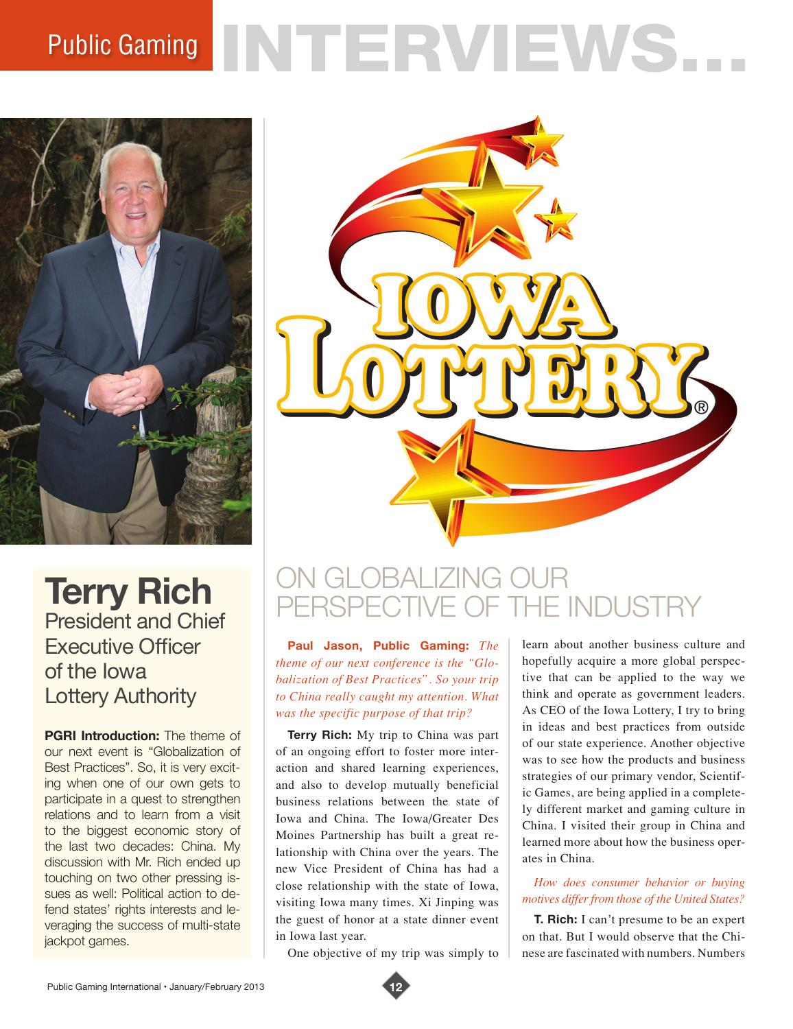# Public Gaming NTERVIEWS.



**Terry Rich** President and Chief Executive Officer of the Iowa Lottery Authority

**PGRI Introduction:** The theme of our next event is "Globalization of Best Practices". So, it is very exciting when one of our own gets to participate in a quest to strengthen relations and to learn from a visit to the biggest economic story of the last two decades: China. My discussion with Mr. Rich ended up touching on two other pressing issues as well: Political action to defend states' rights interests and leveraging the success of multi-state jackpot games.



## **GLOBALIZING OUR** RSPECTIVE OF THE INDUSTRY

**Paul Jason, Public Gaming:** *The theme of our next conference is the "Globalization of Best Practices". So your trip to China really caught my attention. What was the specific purpose of that trip?*

**Terry Rich:** My trip to China was part of an ongoing effort to foster more interaction and shared learning experiences, and also to develop mutually beneficial business relations between the state of Iowa and China. The Iowa/Greater Des Moines Partnership has built a great relationship with China over the years. The new Vice President of China has had a close relationship with the state of Iowa, visiting Iowa many times. Xi Jinping was the guest of honor at a state dinner event in Iowa last year.

One objective of my trip was simply to

learn about another business culture and hopefully acquire a more global perspective that can be applied to the way we think and operate as government leaders. As CEO of the Iowa Lottery, I try to bring in ideas and best practices from outside of our state experience. Another objective was to see how the products and business strategies of our primary vendor, Scientific Games, are being applied in a completely different market and gaming culture in China. I visited their group in China and learned more about how the business operates in China.

### *How does consumer behavior or buying motives differ from those of the United States?*

**T. Rich:** I can't presume to be an expert on that. But I would observe that the Chinese are fascinated with numbers. Numbers

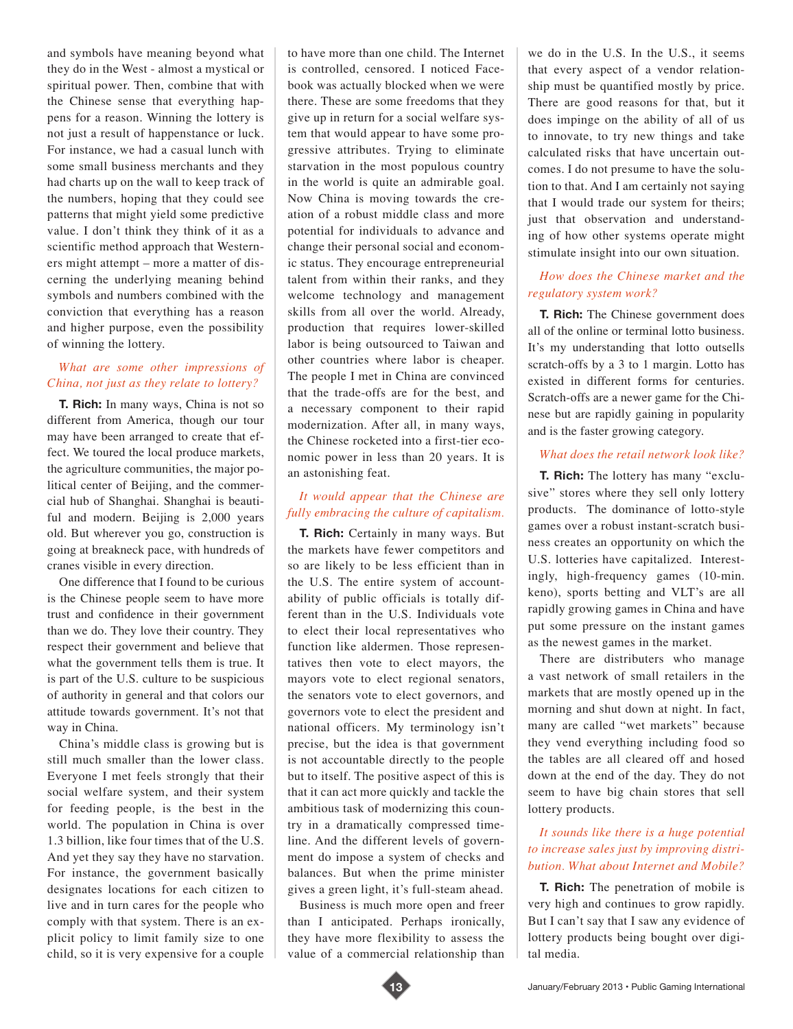and symbols have meaning beyond what they do in the West - almost a mystical or spiritual power. Then, combine that with the Chinese sense that everything happens for a reason. Winning the lottery is not just a result of happenstance or luck. For instance, we had a casual lunch with some small business merchants and they had charts up on the wall to keep track of the numbers, hoping that they could see patterns that might yield some predictive value. I don't think they think of it as a scientific method approach that Westerners might attempt – more a matter of discerning the underlying meaning behind symbols and numbers combined with the conviction that everything has a reason and higher purpose, even the possibility of winning the lottery.

### *What are some other impressions of China, not just as they relate to lottery?*

**T. Rich:** In many ways, China is not so different from America, though our tour may have been arranged to create that effect. We toured the local produce markets, the agriculture communities, the major political center of Beijing, and the commercial hub of Shanghai. Shanghai is beautiful and modern. Beijing is 2,000 years old. But wherever you go, construction is going at breakneck pace, with hundreds of cranes visible in every direction.

One difference that I found to be curious is the Chinese people seem to have more trust and confidence in their government than we do. They love their country. They respect their government and believe that what the government tells them is true. It is part of the U.S. culture to be suspicious of authority in general and that colors our attitude towards government. It's not that way in China.

China's middle class is growing but is still much smaller than the lower class. Everyone I met feels strongly that their social welfare system, and their system for feeding people, is the best in the world. The population in China is over 1.3 billion, like four times that of the U.S. And yet they say they have no starvation. For instance, the government basically designates locations for each citizen to live and in turn cares for the people who comply with that system. There is an explicit policy to limit family size to one child, so it is very expensive for a couple

to have more than one child. The Internet is controlled, censored. I noticed Facebook was actually blocked when we were there. These are some freedoms that they give up in return for a social welfare system that would appear to have some progressive attributes. Trying to eliminate starvation in the most populous country in the world is quite an admirable goal. Now China is moving towards the creation of a robust middle class and more potential for individuals to advance and change their personal social and economic status. They encourage entrepreneurial talent from within their ranks, and they welcome technology and management skills from all over the world. Already, production that requires lower-skilled labor is being outsourced to Taiwan and other countries where labor is cheaper. The people I met in China are convinced that the trade-offs are for the best, and a necessary component to their rapid modernization. After all, in many ways, the Chinese rocketed into a first-tier economic power in less than 20 years. It is an astonishing feat.

### *It would appear that the Chinese are fully embracing the culture of capitalism.*

**T. Rich:** Certainly in many ways. But the markets have fewer competitors and so are likely to be less efficient than in the U.S. The entire system of accountability of public officials is totally different than in the U.S. Individuals vote to elect their local representatives who function like aldermen. Those representatives then vote to elect mayors, the mayors vote to elect regional senators, the senators vote to elect governors, and governors vote to elect the president and national officers. My terminology isn't precise, but the idea is that government is not accountable directly to the people but to itself. The positive aspect of this is that it can act more quickly and tackle the ambitious task of modernizing this country in a dramatically compressed timeline. And the different levels of government do impose a system of checks and balances. But when the prime minister gives a green light, it's full-steam ahead.

Business is much more open and freer than I anticipated. Perhaps ironically, they have more flexibility to assess the value of a commercial relationship than

we do in the U.S. In the U.S., it seems that every aspect of a vendor relationship must be quantified mostly by price. There are good reasons for that, but it does impinge on the ability of all of us to innovate, to try new things and take calculated risks that have uncertain outcomes. I do not presume to have the solution to that. And I am certainly not saying that I would trade our system for theirs; just that observation and understanding of how other systems operate might stimulate insight into our own situation.

### *How does the Chinese market and the regulatory system work?*

**T. Rich:** The Chinese government does all of the online or terminal lotto business. It's my understanding that lotto outsells scratch-offs by a 3 to 1 margin. Lotto has existed in different forms for centuries. Scratch-offs are a newer game for the Chinese but are rapidly gaining in popularity and is the faster growing category.

### *What does the retail network look like?*

**T. Rich:** The lottery has many "exclusive" stores where they sell only lottery products. The dominance of lotto-style games over a robust instant-scratch business creates an opportunity on which the U.S. lotteries have capitalized. Interestingly, high-frequency games (10-min. keno), sports betting and VLT's are all rapidly growing games in China and have put some pressure on the instant games as the newest games in the market.

There are distributers who manage a vast network of small retailers in the markets that are mostly opened up in the morning and shut down at night. In fact, many are called "wet markets" because they vend everything including food so the tables are all cleared off and hosed down at the end of the day. They do not seem to have big chain stores that sell lottery products.

### *It sounds like there is a huge potential to increase sales just by improving distribution. What about Internet and Mobile?*

**T. Rich:** The penetration of mobile is very high and continues to grow rapidly. But I can't say that I saw any evidence of lottery products being bought over digital media.

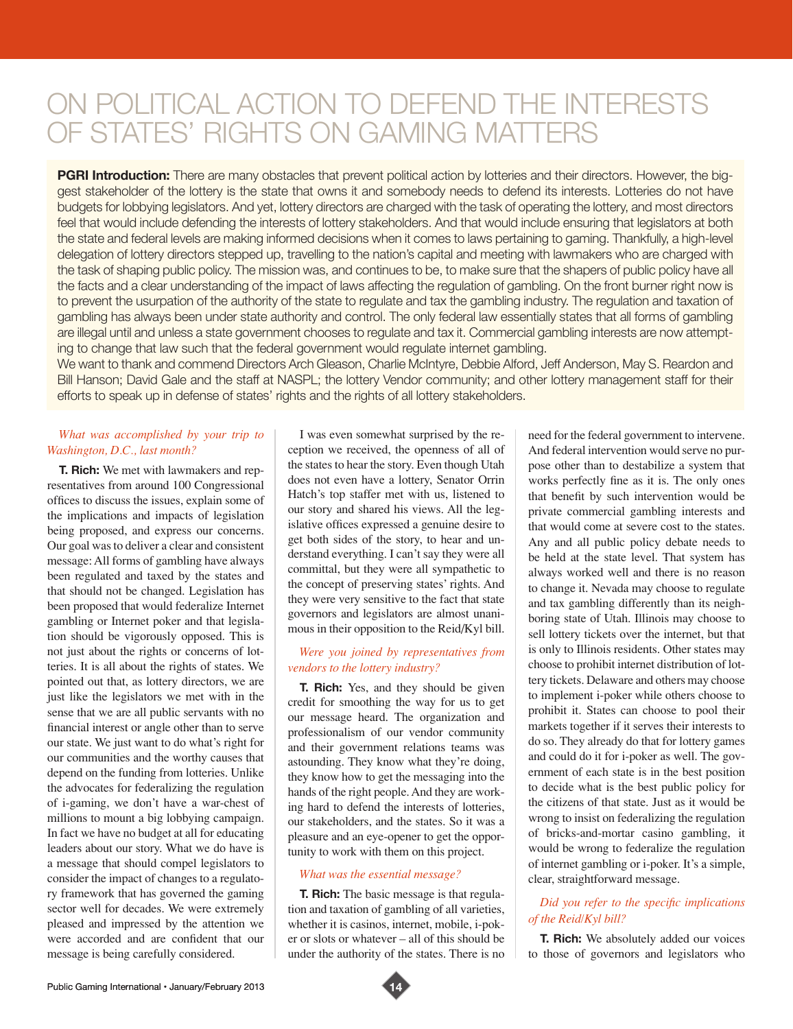## ON POLITICAL ACTION TO DEFEND THE INTERESTS OF STATES' RIGHTS ON GAMING MATTERS

**PGRI Introduction:** There are many obstacles that prevent political action by lotteries and their directors. However, the biggest stakeholder of the lottery is the state that owns it and somebody needs to defend its interests. Lotteries do not have budgets for lobbying legislators. And yet, lottery directors are charged with the task of operating the lottery, and most directors feel that would include defending the interests of lottery stakeholders. And that would include ensuring that legislators at both the state and federal levels are making informed decisions when it comes to laws pertaining to gaming. Thankfully, a high-level delegation of lottery directors stepped up, travelling to the nation's capital and meeting with lawmakers who are charged with the task of shaping public policy. The mission was, and continues to be, to make sure that the shapers of public policy have all the facts and a clear understanding of the impact of laws affecting the regulation of gambling. On the front burner right now is to prevent the usurpation of the authority of the state to regulate and tax the gambling industry. The regulation and taxation of gambling has always been under state authority and control. The only federal law essentially states that all forms of gambling are illegal until and unless a state government chooses to regulate and tax it. Commercial gambling interests are now attempting to change that law such that the federal government would regulate internet gambling.

We want to thank and commend Directors Arch Gleason, Charlie McIntyre, Debbie Alford, Jeff Anderson, May S. Reardon and Bill Hanson; David Gale and the staff at NASPL; the lottery Vendor community; and other lottery management staff for their efforts to speak up in defense of states' rights and the rights of all lottery stakeholders.

### *What was accomplished by your trip to Washington, D.C., last month?*

**T. Rich:** We met with lawmakers and representatives from around 100 Congressional offices to discuss the issues, explain some of the implications and impacts of legislation being proposed, and express our concerns. Our goal was to deliver a clear and consistent message: All forms of gambling have always been regulated and taxed by the states and that should not be changed. Legislation has been proposed that would federalize Internet gambling or Internet poker and that legislation should be vigorously opposed. This is not just about the rights or concerns of lotteries. It is all about the rights of states. We pointed out that, as lottery directors, we are just like the legislators we met with in the sense that we are all public servants with no financial interest or angle other than to serve our state. We just want to do what's right for our communities and the worthy causes that depend on the funding from lotteries. Unlike the advocates for federalizing the regulation of i-gaming, we don't have a war-chest of millions to mount a big lobbying campaign. In fact we have no budget at all for educating leaders about our story. What we do have is a message that should compel legislators to consider the impact of changes to a regulatory framework that has governed the gaming sector well for decades. We were extremely pleased and impressed by the attention we were accorded and are confident that our message is being carefully considered.

I was even somewhat surprised by the reception we received, the openness of all of the states to hear the story. Even though Utah does not even have a lottery, Senator Orrin Hatch's top staffer met with us, listened to our story and shared his views. All the legislative offices expressed a genuine desire to get both sides of the story, to hear and understand everything. I can't say they were all committal, but they were all sympathetic to the concept of preserving states' rights. And they were very sensitive to the fact that state governors and legislators are almost unanimous in their opposition to the Reid/Kyl bill.

### *Were you joined by representatives from vendors to the lottery industry?*

**T. Rich:** Yes, and they should be given credit for smoothing the way for us to get our message heard. The organization and professionalism of our vendor community and their government relations teams was astounding. They know what they're doing, they know how to get the messaging into the hands of the right people. And they are working hard to defend the interests of lotteries, our stakeholders, and the states. So it was a pleasure and an eye-opener to get the opportunity to work with them on this project.

### *What was the essential message?*

**T. Rich:** The basic message is that regulation and taxation of gambling of all varieties, whether it is casinos, internet, mobile, i-poker or slots or whatever – all of this should be under the authority of the states. There is no

need for the federal government to intervene. And federal intervention would serve no purpose other than to destabilize a system that works perfectly fine as it is. The only ones that benefit by such intervention would be private commercial gambling interests and that would come at severe cost to the states. Any and all public policy debate needs to be held at the state level. That system has always worked well and there is no reason to change it. Nevada may choose to regulate and tax gambling differently than its neighboring state of Utah. Illinois may choose to sell lottery tickets over the internet, but that is only to Illinois residents. Other states may choose to prohibit internet distribution of lottery tickets. Delaware and others may choose to implement i-poker while others choose to prohibit it. States can choose to pool their markets together if it serves their interests to do so. They already do that for lottery games and could do it for i-poker as well. The government of each state is in the best position to decide what is the best public policy for the citizens of that state. Just as it would be wrong to insist on federalizing the regulation of bricks-and-mortar casino gambling, it would be wrong to federalize the regulation of internet gambling or i-poker. It's a simple, clear, straightforward message.

### *Did you refer to the specific implications of the Reid/Kyl bill?*

**T. Rich:** We absolutely added our voices to those of governors and legislators who